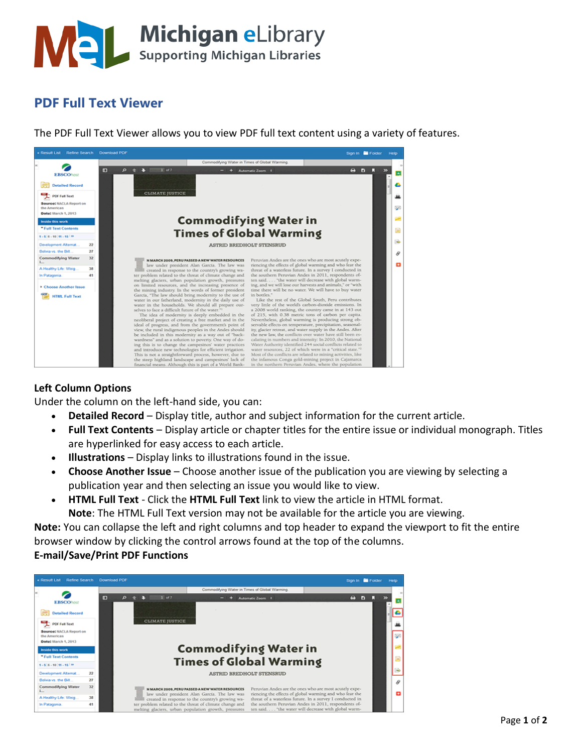

## **PDF Full Text Viewer**

The PDF Full Text Viewer allows you to view PDF full text content using a variety of features.



## **Left Column Options**

Under the column on the left-hand side, you can:

- **Detailed Record** Display title, author and subject information for the current article.
- **Full Text Contents** Display article or chapter titles for the entire issue or individual monograph. Titles are hyperlinked for easy access to each article.
- **Illustrations** Display links to illustrations found in the issue.
- **Choose Another Issue** Choose another issue of the publication you are viewing by selecting a publication year and then selecting an issue you would like to view.
- **HTML Full Text** Click the **HTML Full Text** link to view the article in HTML format. **Note**: The HTML Full Text version may not be available for the article you are viewing.

**Note:** You can collapse the left and right columns and top header to expand the viewport to fit the entire browser window by clicking the control arrows found at the top of the columns.

## **E-mail/Save/Print PDF Functions**